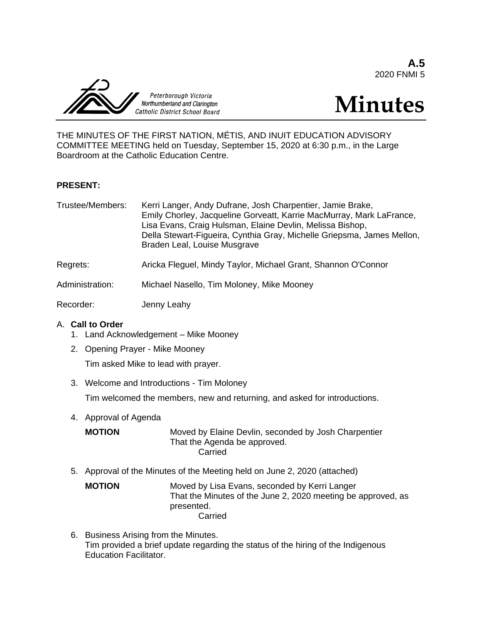**A.5** 2020 FNMI 5



# **Minutes**

THE MINUTES OF THE FIRST NATION, MÉTIS, AND INUIT EDUCATION ADVISORY COMMITTEE MEETING held on Tuesday, September 15, 2020 at 6:30 p.m., in the Large Boardroom at the Catholic Education Centre.

## **PRESENT:**

| Trustee/Members: | Kerri Langer, Andy Dufrane, Josh Charpentier, Jamie Brake,<br>Emily Chorley, Jacqueline Gorveatt, Karrie MacMurray, Mark LaFrance,<br>Lisa Evans, Craig Hulsman, Elaine Devlin, Melissa Bishop,<br>Della Stewart-Figueira, Cynthia Gray, Michelle Griepsma, James Mellon,<br>Braden Leal, Louise Musgrave |
|------------------|-----------------------------------------------------------------------------------------------------------------------------------------------------------------------------------------------------------------------------------------------------------------------------------------------------------|
| Regrets:         | Aricka Fleguel, Mindy Taylor, Michael Grant, Shannon O'Connor                                                                                                                                                                                                                                             |
| Administration:  | Michael Nasello, Tim Moloney, Mike Mooney                                                                                                                                                                                                                                                                 |
| Recorder:        | Jenny Leahy                                                                                                                                                                                                                                                                                               |

# A. **Call to Order**

- 1. Land Acknowledgement Mike Mooney
- 2. Opening Prayer Mike Mooney Tim asked Mike to lead with prayer.
- 3. Welcome and Introductions Tim Moloney

Tim welcomed the members, new and returning, and asked for introductions.

4. Approval of Agenda

| <b>MOTION</b> | Moved by Elaine Devlin, seconded by Josh Charpentier |
|---------------|------------------------------------------------------|
|               | That the Agenda be approved.                         |
|               | Carried                                              |

5. Approval of the Minutes of the Meeting held on June 2, 2020 (attached)

**MOTION** Moved by Lisa Evans, seconded by Kerri Langer That the Minutes of the June 2, 2020 meeting be approved, as presented. Carried

6. Business Arising from the Minutes. Tim provided a brief update regarding the status of the hiring of the Indigenous Education Facilitator.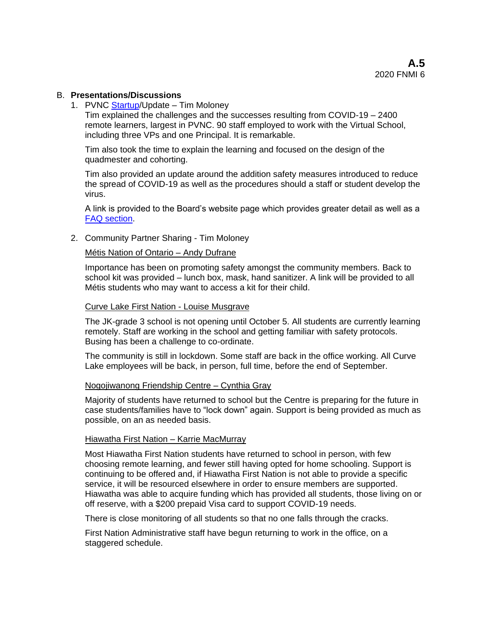## B. **Presentations/Discussions**

1. PVNC [Startup/](https://www.pvnccdsb.on.ca/return-to-school-2020-2021/)Update – Tim Moloney

Tim explained the challenges and the successes resulting from COVID-19 – 2400 remote learners, largest in PVNC. 90 staff employed to work with the Virtual School, including three VPs and one Principal. It is remarkable.

Tim also took the time to explain the learning and focused on the design of the quadmester and cohorting.

Tim also provided an update around the addition safety measures introduced to reduce the spread of COVID-19 as well as the procedures should a staff or student develop the virus.

A link is provided to the Board's website page which provides greater detail as well as a [FAQ section.](https://www.pvnccdsb.on.ca/return-to-school-faq/)

2. Community Partner Sharing - Tim Moloney

### Métis Nation of Ontario – Andy Dufrane

Importance has been on promoting safety amongst the community members. Back to school kit was provided – lunch box, mask, hand sanitizer. A link will be provided to all Métis students who may want to access a kit for their child.

#### Curve Lake First Nation - Louise Musgrave

The JK-grade 3 school is not opening until October 5. All students are currently learning remotely. Staff are working in the school and getting familiar with safety protocols. Busing has been a challenge to co-ordinate.

The community is still in lockdown. Some staff are back in the office working. All Curve Lake employees will be back, in person, full time, before the end of September.

## Nogojiwanong Friendship Centre – Cynthia Gray

Majority of students have returned to school but the Centre is preparing for the future in case students/families have to "lock down" again. Support is being provided as much as possible, on an as needed basis.

#### Hiawatha First Nation – Karrie MacMurray

Most Hiawatha First Nation students have returned to school in person, with few choosing remote learning, and fewer still having opted for home schooling. Support is continuing to be offered and, if Hiawatha First Nation is not able to provide a specific service, it will be resourced elsewhere in order to ensure members are supported. Hiawatha was able to acquire funding which has provided all students, those living on or off reserve, with a \$200 prepaid Visa card to support COVID-19 needs.

There is close monitoring of all students so that no one falls through the cracks.

First Nation Administrative staff have begun returning to work in the office, on a staggered schedule.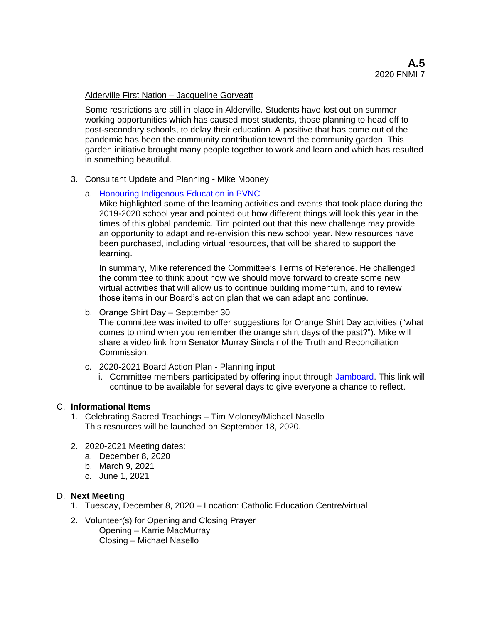# Alderville First Nation – Jacqueline Gorveatt

Some restrictions are still in place in Alderville. Students have lost out on summer working opportunities which has caused most students, those planning to head off to post-secondary schools, to delay their education. A positive that has come out of the pandemic has been the community contribution toward the community garden. This garden initiative brought many people together to work and learn and which has resulted in something beautiful.

3. Consultant Update and Planning - Mike Mooney

# a. [Honouring Indigenous Education in PVNC](https://sway.office.com/OFS0iv1NYRVjD6XA?ref=Link)

Mike highlighted some of the learning activities and events that took place during the 2019-2020 school year and pointed out how different things will look this year in the times of this global pandemic. Tim pointed out that this new challenge may provide an opportunity to adapt and re-envision this new school year. New resources have been purchased, including virtual resources, that will be shared to support the learning.

In summary, Mike referenced the Committee's Terms of Reference. He challenged the committee to think about how we should move forward to create some new virtual activities that will allow us to continue building momentum, and to review those items in our Board's action plan that we can adapt and continue.

b. Orange Shirt Day – September 30

The committee was invited to offer suggestions for Orange Shirt Day activities ("what comes to mind when you remember the orange shirt days of the past?"). Mike will share a video link from Senator Murray Sinclair of the Truth and Reconciliation Commission.

- c. 2020-2021 Board Action Plan Planning input
	- i. Committee members participated by offering input through [Jamboard.](https://jamboard.google.com/d/1gi9PAUh5fBqcTtfKcWvvhg7pD4wphroafKJ316d5OaY/viewer) This link will continue to be available for several days to give everyone a chance to reflect.

# C. **Informational Items**

- 1. Celebrating Sacred Teachings Tim Moloney/Michael Nasello This resources will be launched on September 18, 2020.
- 2. 2020-2021 Meeting dates:
	- a. December 8, 2020
	- b. March 9, 2021
	- c. June 1, 2021

# D. **Next Meeting**

- 1. Tuesday, December 8, 2020 Location: Catholic Education Centre/virtual
- 2. Volunteer(s) for Opening and Closing Prayer
	- Opening Karrie MacMurray Closing – Michael Nasello